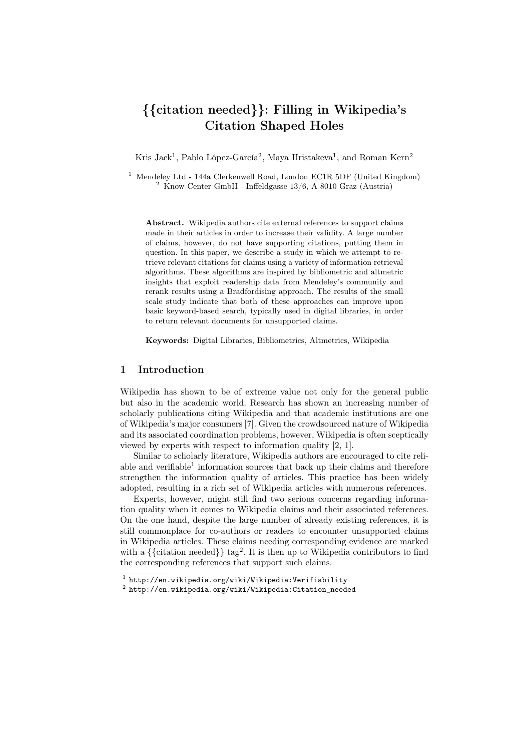# {{citation needed}}: Filling in Wikipedia's Citation Shaped Holes

Kris Jack<sup>1</sup>, Pablo López-García<sup>2</sup>, Maya Hristakeva<sup>1</sup>, and Roman Kern<sup>2</sup>

<sup>1</sup> Mendeley Ltd - 144a Clerkenwell Road, London EC1R 5DF (United Kingdom)  $2$  Know-Center GmbH - Inffeldgasse  $13/6$ , A-8010 Graz (Austria)

Abstract. Wikipedia authors cite external references to support claims made in their articles in order to increase their validity. A large number of claims, however, do not have supporting citations, putting them in question. In this paper, we describe a study in which we attempt to retrieve relevant citations for claims using a variety of information retrieval algorithms. These algorithms are inspired by bibliometric and altmetric insights that exploit readership data from Mendeley's community and rerank results using a Bradfordising approach. The results of the small scale study indicate that both of these approaches can improve upon basic keyword-based search, typically used in digital libraries, in order to return relevant documents for unsupported claims.

Keywords: Digital Libraries, Bibliometrics, Altmetrics, Wikipedia

# 1 Introduction

Wikipedia has shown to be of extreme value not only for the general public but also in the academic world. Research has shown an increasing number of scholarly publications citing Wikipedia and that academic institutions are one of Wikipedia's major consumers [7]. Given the crowdsourced nature of Wikipedia and its associated coordination problems, however, Wikipedia is often sceptically viewed by experts with respect to information quality [2, 1].

Similar to scholarly literature, Wikipedia authors are encouraged to cite reliable and verifiable<sup>1</sup> information sources that back up their claims and therefore strengthen the information quality of articles. This practice has been widely adopted, resulting in a rich set of Wikipedia articles with numerous references.

Experts, however, might still find two serious concerns regarding information quality when it comes to Wikipedia claims and their associated references. On the one hand, despite the large number of already existing references, it is still commonplace for co-authors or readers to encounter unsupported claims in Wikipedia articles. These claims needing corresponding evidence are marked with a  $\{\{\text{citation needed}\}\}\$ tag<sup>2</sup>. It is then up to Wikipedia contributors to find the corresponding references that support such claims.

 $^{\rm 1}$  http://en.wikipedia.org/wiki/Wikipedia:Verifiability

 $^{\rm 2}$  http://en.wikipedia.org/wiki/Wikipedia:Citation\_needed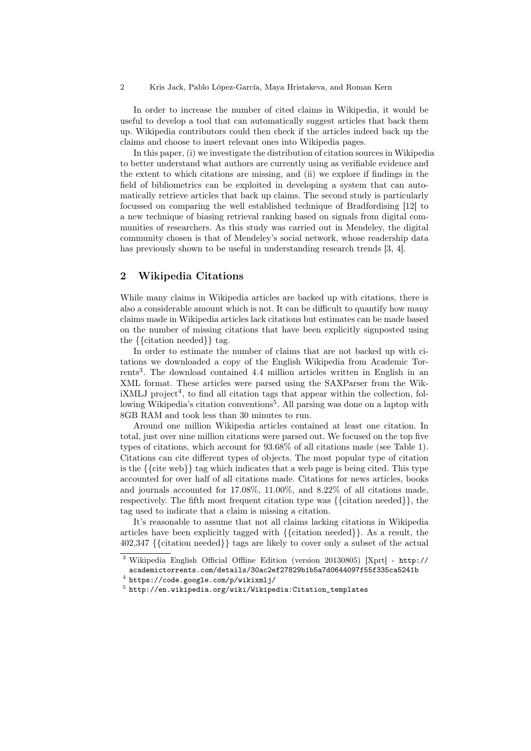In order to increase the number of cited claims in Wikipedia, it would be useful to develop a tool that can automatically suggest articles that back them up. Wikipedia contributors could then check if the articles indeed back up the claims and choose to insert relevant ones into Wikipedia pages.

In this paper, (i) we investigate the distribution of citation sources in Wikipedia to better understand what authors are currently using as verifiable evidence and the extent to which citations are missing, and (ii) we explore if findings in the field of bibliometrics can be exploited in developing a system that can automatically retrieve articles that back up claims. The second study is particularly focussed on comparing the well established technique of Bradfordising [12] to a new technique of biasing retrieval ranking based on signals from digital communities of researchers. As this study was carried out in Mendeley, the digital community chosen is that of Mendeley's social network, whose readership data has previously shown to be useful in understanding research trends [3, 4].

# 2 Wikipedia Citations

While many claims in Wikipedia articles are backed up with citations, there is also a considerable amount which is not. It can be difficult to quantify how many claims made in Wikipedia articles lack citations but estimates can be made based on the number of missing citations that have been explicitly signposted using the {{citation needed}} tag.

In order to estimate the number of claims that are not backed up with citations we downloaded a copy of the English Wikipedia from Academic Torrents<sup>3</sup>. The download contained 4.4 million articles written in English in an XML format. These articles were parsed using the SAXParser from the Wik $iXMLJ$  project<sup>4</sup>, to find all citation tags that appear within the collection, following Wikipedia's citation conventions<sup>5</sup>. All parsing was done on a laptop with 8GB RAM and took less than 30 minutes to run.

Around one million Wikipedia articles contained at least one citation. In total, just over nine million citations were parsed out. We focused on the top five types of citations, which account for 93.68% of all citations made (see Table 1). Citations can cite different types of objects. The most popular type of citation is the {{cite web}} tag which indicates that a web page is being cited. This type accounted for over half of all citations made. Citations for news articles, books and journals accounted for 17.08%, 11.00%, and 8.22% of all citations made, respectively. The fifth most frequent citation type was {{citation needed}}, the tag used to indicate that a claim is missing a citation.

It's reasonable to assume that not all claims lacking citations in Wikipedia articles have been explicitly tagged with {{citation needed}}. As a result, the 402,347 {{citation needed}} tags are likely to cover only a subset of the actual

<sup>3</sup> Wikipedia English Official Offline Edition (version 20130805) [Xprt] - http:// academictorrents.com/details/30ac2ef27829b1b5a7d0644097f55f335ca5241b

<sup>4</sup> https://code.google.com/p/wikixmlj/

 $^5$  http://en.wikipedia.org/wiki/Wikipedia:Citation\_templates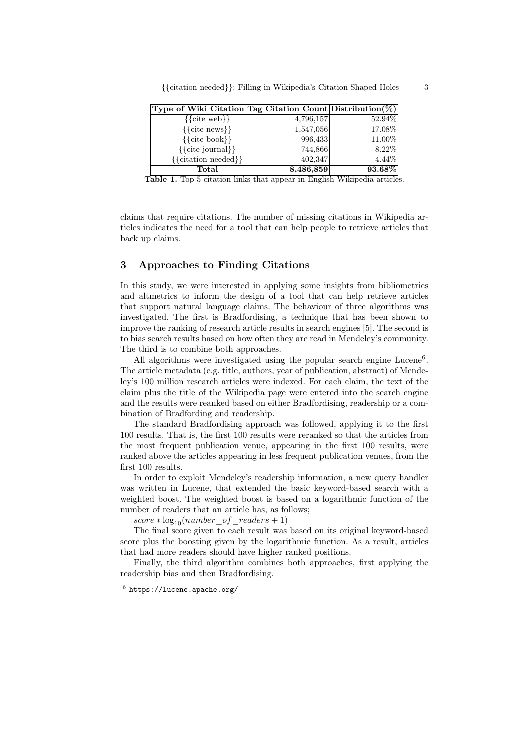| Type of Wiki Citation Tag Citation Count Distribution (%) |           |          |
|-----------------------------------------------------------|-----------|----------|
| $\{\{\text{cite web}\}\}\$                                | 4,796,157 | 52.94%   |
| $\{\{\text{cite news}\}\}\$                               | 1,547,056 | 17.08%   |
| $\{\{\text{cite book}\}\}\$                               | 996,433   | 11.00%   |
| $\{\{\text{cite journal}\}\}\$                            | 744,866   | $8.22\%$ |
| $\{\{\text{citation needed}\}\}\$                         | 402,347   | $4.44\%$ |
| Total                                                     | 8,486,859 | 93.68%   |

Table 1. Top 5 citation links that appear in English Wikipedia articles.

claims that require citations. The number of missing citations in Wikipedia articles indicates the need for a tool that can help people to retrieve articles that back up claims.

### 3 Approaches to Finding Citations

In this study, we were interested in applying some insights from bibliometrics and altmetrics to inform the design of a tool that can help retrieve articles that support natural language claims. The behaviour of three algorithms was investigated. The first is Bradfordising, a technique that has been shown to improve the ranking of research article results in search engines [5]. The second is to bias search results based on how often they are read in Mendeley's community. The third is to combine both approaches.

All algorithms were investigated using the popular search engine Lucene<sup>6</sup>. The article metadata (e.g. title, authors, year of publication, abstract) of Mendeley's 100 million research articles were indexed. For each claim, the text of the claim plus the title of the Wikipedia page were entered into the search engine and the results were reanked based on either Bradfordising, readership or a combination of Bradfording and readership.

The standard Bradfordising approach was followed, applying it to the first 100 results. That is, the first 100 results were reranked so that the articles from the most frequent publication venue, appearing in the first 100 results, were ranked above the articles appearing in less frequent publication venues, from the first 100 results.

In order to exploit Mendeley's readership information, a new query handler was written in Lucene, that extended the basic keyword-based search with a weighted boost. The weighted boost is based on a logarithmic function of the number of readers that an article has, as follows;

 $score * log_{10}(number of readers + 1)$ 

The final score given to each result was based on its original keyword-based score plus the boosting given by the logarithmic function. As a result, articles that had more readers should have higher ranked positions.

Finally, the third algorithm combines both approaches, first applying the readership bias and then Bradfordising.

 $^6$  https://lucene.apache.org/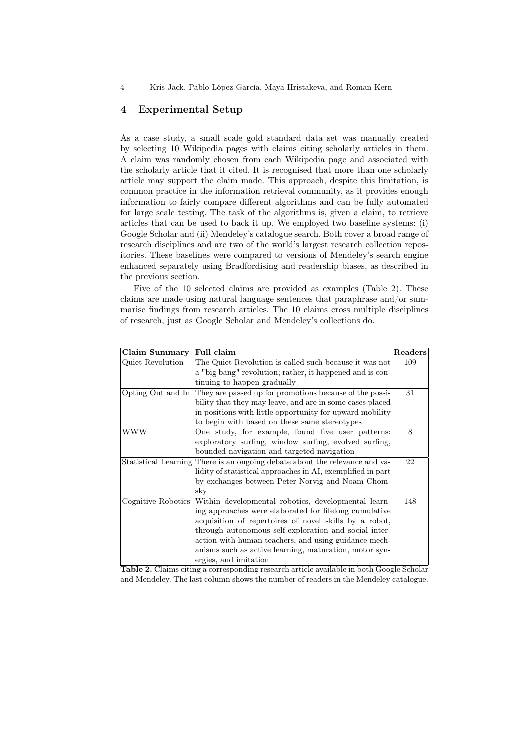4 Kris Jack, Pablo López-García, Maya Hristakeva, and Roman Kern

# 4 Experimental Setup

As a case study, a small scale gold standard data set was manually created by selecting 10 Wikipedia pages with claims citing scholarly articles in them. A claim was randomly chosen from each Wikipedia page and associated with the scholarly article that it cited. It is recognised that more than one scholarly article may support the claim made. This approach, despite this limitation, is common practice in the information retrieval community, as it provides enough information to fairly compare different algorithms and can be fully automated for large scale testing. The task of the algorithms is, given a claim, to retrieve articles that can be used to back it up. We employed two baseline systems: (i) Google Scholar and (ii) Mendeley's catalogue search. Both cover a broad range of research disciplines and are two of the world's largest research collection repositories. These baselines were compared to versions of Mendeley's search engine enhanced separately using Bradfordising and readership biases, as described in the previous section.

Five of the 10 selected claims are provided as examples (Table 2). These claims are made using natural language sentences that paraphrase and/or summarise findings from research articles. The 10 claims cross multiple disciplines of research, just as Google Scholar and Mendeley's collections do.

| Claim Summary      | Full claim                                                                  | Readers |  |  |  |
|--------------------|-----------------------------------------------------------------------------|---------|--|--|--|
| Quiet Revolution   | The Quiet Revolution is called such because it was not                      |         |  |  |  |
|                    | a "big bang" revolution; rather, it happened and is con-                    |         |  |  |  |
|                    | tinuing to happen gradually                                                 |         |  |  |  |
| Opting Out and In  | They are passed up for promotions because of the possi-                     | 31      |  |  |  |
|                    | bility that they may leave, and are in some cases placed                    |         |  |  |  |
|                    | in positions with little opportunity for upward mobility                    |         |  |  |  |
|                    | to begin with based on these same stereotypes                               |         |  |  |  |
| WWW                | One study, for example, found five user patterns:                           | 8       |  |  |  |
|                    | exploratory surfing, window surfing, evolved surfing,                       |         |  |  |  |
|                    | bounded navigation and targeted navigation                                  |         |  |  |  |
|                    | Statistical Learning There is an ongoing debate about the relevance and va- | 22      |  |  |  |
|                    | lidity of statistical approaches in AI, exemplified in part                 |         |  |  |  |
|                    | by exchanges between Peter Norvig and Noam Chom-                            |         |  |  |  |
|                    | sky                                                                         |         |  |  |  |
| Cognitive Robotics | Within developmental robotics, developmental learn-                         | 148     |  |  |  |
|                    | ing approaches were elaborated for lifelong cumulative                      |         |  |  |  |
|                    | acquisition of repertoires of novel skills by a robot,                      |         |  |  |  |
|                    | through autonomous self-exploration and social inter-                       |         |  |  |  |
|                    | action with human teachers, and using guidance mech-                        |         |  |  |  |
|                    | anisms such as active learning, maturation, motor syn-                      |         |  |  |  |
|                    | ergies, and imitation                                                       |         |  |  |  |

Table 2. Claims citing a corresponding research article available in both Google Scholar and Mendeley. The last column shows the number of readers in the Mendeley catalogue.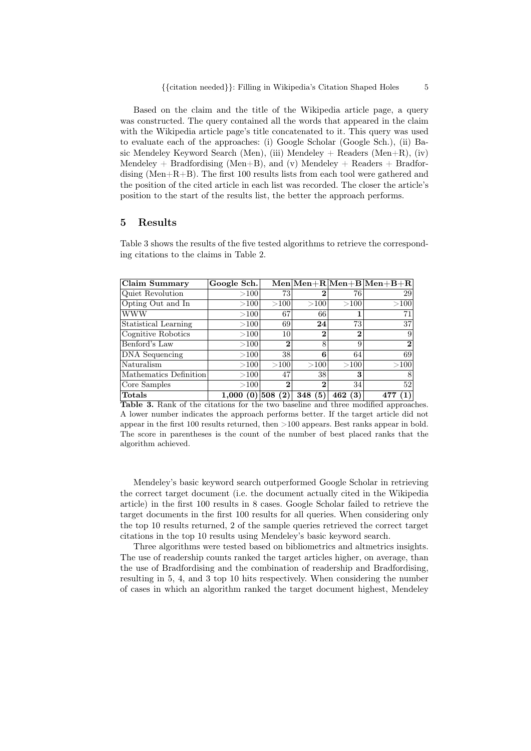Based on the claim and the title of the Wikipedia article page, a query was constructed. The query contained all the words that appeared in the claim with the Wikipedia article page's title concatenated to it. This query was used to evaluate each of the approaches: (i) Google Scholar (Google Sch.), (ii) Basic Mendeley Keyword Search (Men), (iii) Mendeley  $+$  Readers (Men $+R$ ), (iv) Mendeley + Bradfordising (Men+B), and (v) Mendeley + Readers + Bradfordising (Men+R+B). The first 100 results lists from each tool were gathered and the position of the cited article in each list was recorded. The closer the article's position to the start of the results list, the better the approach performs.

#### 5 Results

Table 3 shows the results of the five tested algorithms to retrieve the corresponding citations to the claims in Table 2.

| Claim Summary          | Google Sch.  |            |                |             | $\text{Men} \text{Men}+\text{R} \text{Men}+\text{B} \text{Men}+\text{B}+\text{R}$ |
|------------------------|--------------|------------|----------------|-------------|-----------------------------------------------------------------------------------|
| Quiet Revolution       | $>$ 100 $ $  | 73         | 2              | 76          | 29                                                                                |
| Opting Out and In      | >100         | >100       | >100           | $>$ 100 $ $ | >100                                                                              |
| <b>WWW</b>             | >100         | 67         | 66             |             | 71                                                                                |
| Statistical Learning   | >100         | 69         | 24             | 73          | 37                                                                                |
| Cognitive Robotics     | >100         | 10         | $\overline{2}$ | $\bf{2}$    | 9                                                                                 |
| Benford's Law          | >100         | 2          | 8              | 9           | $\bf{2}$                                                                          |
| DNA Sequencing         | >100         | 38         | 6              | 64          | 69                                                                                |
| Naturalism             | >100         | >100       | >100           | >100        | >100                                                                              |
| Mathematics Definition | >100         | 47         | 38             | 3           | 8                                                                                 |
| Core Samples           | >100         | $\bf{2}$   | $\overline{2}$ | 34          | 52                                                                                |
| Totals                 | 1.000<br>(0) | 508<br>(2) | 348<br>(5)     | (3)<br>462  | $\left( 1\right)$<br>477                                                          |

Table 3. Rank of the citations for the two baseline and three modified approaches. A lower number indicates the approach performs better. If the target article did not appear in the first 100 results returned, then >100 appears. Best ranks appear in bold. The score in parentheses is the count of the number of best placed ranks that the algorithm achieved.

Mendeley's basic keyword search outperformed Google Scholar in retrieving the correct target document (i.e. the document actually cited in the Wikipedia article) in the first 100 results in 8 cases. Google Scholar failed to retrieve the target documents in the first 100 results for all queries. When considering only the top 10 results returned, 2 of the sample queries retrieved the correct target citations in the top 10 results using Mendeley's basic keyword search.

Three algorithms were tested based on bibliometrics and altmetrics insights. The use of readership counts ranked the target articles higher, on average, than the use of Bradfordising and the combination of readership and Bradfordising, resulting in 5, 4, and 3 top 10 hits respectively. When considering the number of cases in which an algorithm ranked the target document highest, Mendeley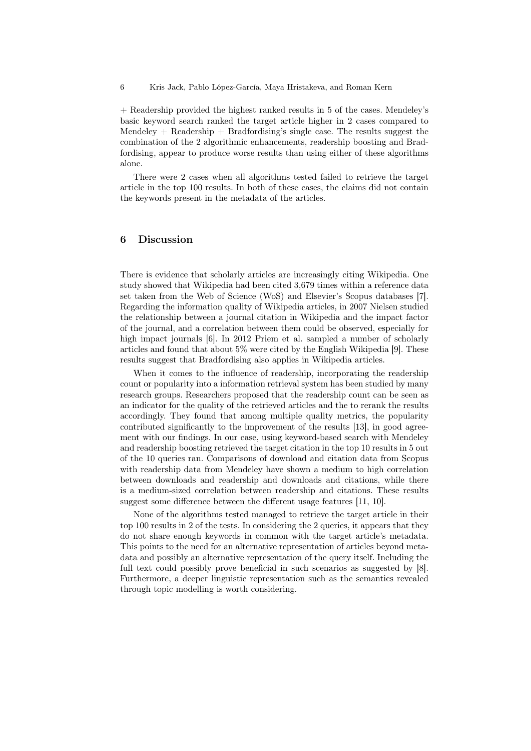6 Kris Jack, Pablo López-García, Maya Hristakeva, and Roman Kern

+ Readership provided the highest ranked results in 5 of the cases. Mendeley's basic keyword search ranked the target article higher in 2 cases compared to Mendeley  $+$  Readership  $+$  Bradfordising's single case. The results suggest the combination of the 2 algorithmic enhancements, readership boosting and Bradfordising, appear to produce worse results than using either of these algorithms alone.

There were 2 cases when all algorithms tested failed to retrieve the target article in the top 100 results. In both of these cases, the claims did not contain the keywords present in the metadata of the articles.

### 6 Discussion

There is evidence that scholarly articles are increasingly citing Wikipedia. One study showed that Wikipedia had been cited 3,679 times within a reference data set taken from the Web of Science (WoS) and Elsevier's Scopus databases [7]. Regarding the information quality of Wikipedia articles, in 2007 Nielsen studied the relationship between a journal citation in Wikipedia and the impact factor of the journal, and a correlation between them could be observed, especially for high impact journals [6]. In 2012 Priem et al. sampled a number of scholarly articles and found that about 5% were cited by the English Wikipedia [9]. These results suggest that Bradfordising also applies in Wikipedia articles.

When it comes to the influence of readership, incorporating the readership count or popularity into a information retrieval system has been studied by many research groups. Researchers proposed that the readership count can be seen as an indicator for the quality of the retrieved articles and the to rerank the results accordingly. They found that among multiple quality metrics, the popularity contributed significantly to the improvement of the results [13], in good agreement with our findings. In our case, using keyword-based search with Mendeley and readership boosting retrieved the target citation in the top 10 results in 5 out of the 10 queries ran. Comparisons of download and citation data from Scopus with readership data from Mendeley have shown a medium to high correlation between downloads and readership and downloads and citations, while there is a medium-sized correlation between readership and citations. These results suggest some difference between the different usage features [11, 10].

None of the algorithms tested managed to retrieve the target article in their top 100 results in 2 of the tests. In considering the 2 queries, it appears that they do not share enough keywords in common with the target article's metadata. This points to the need for an alternative representation of articles beyond metadata and possibly an alternative representation of the query itself. Including the full text could possibly prove beneficial in such scenarios as suggested by [8]. Furthermore, a deeper linguistic representation such as the semantics revealed through topic modelling is worth considering.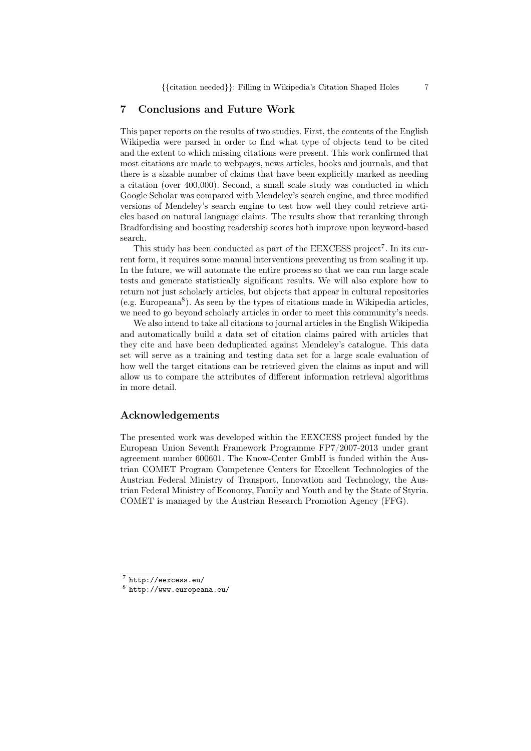#### 7 Conclusions and Future Work

This paper reports on the results of two studies. First, the contents of the English Wikipedia were parsed in order to find what type of objects tend to be cited and the extent to which missing citations were present. This work confirmed that most citations are made to webpages, news articles, books and journals, and that there is a sizable number of claims that have been explicitly marked as needing a citation (over 400,000). Second, a small scale study was conducted in which Google Scholar was compared with Mendeley's search engine, and three modified versions of Mendeley's search engine to test how well they could retrieve articles based on natural language claims. The results show that reranking through Bradfordising and boosting readership scores both improve upon keyword-based search.

This study has been conducted as part of the EEXCESS project<sup>7</sup>. In its current form, it requires some manual interventions preventing us from scaling it up. In the future, we will automate the entire process so that we can run large scale tests and generate statistically significant results. We will also explore how to return not just scholarly articles, but objects that appear in cultural repositories (e.g. Europeana<sup>8</sup> ). As seen by the types of citations made in Wikipedia articles, we need to go beyond scholarly articles in order to meet this community's needs.

We also intend to take all citations to journal articles in the English Wikipedia and automatically build a data set of citation claims paired with articles that they cite and have been deduplicated against Mendeley's catalogue. This data set will serve as a training and testing data set for a large scale evaluation of how well the target citations can be retrieved given the claims as input and will allow us to compare the attributes of different information retrieval algorithms in more detail.

#### Acknowledgements

The presented work was developed within the EEXCESS project funded by the European Union Seventh Framework Programme FP7/2007-2013 under grant agreement number 600601. The Know-Center GmbH is funded within the Austrian COMET Program Competence Centers for Excellent Technologies of the Austrian Federal Ministry of Transport, Innovation and Technology, the Austrian Federal Ministry of Economy, Family and Youth and by the State of Styria. COMET is managed by the Austrian Research Promotion Agency (FFG).

<sup>7</sup> http://eexcess.eu/

 $^8$  http://www.europeana.eu/